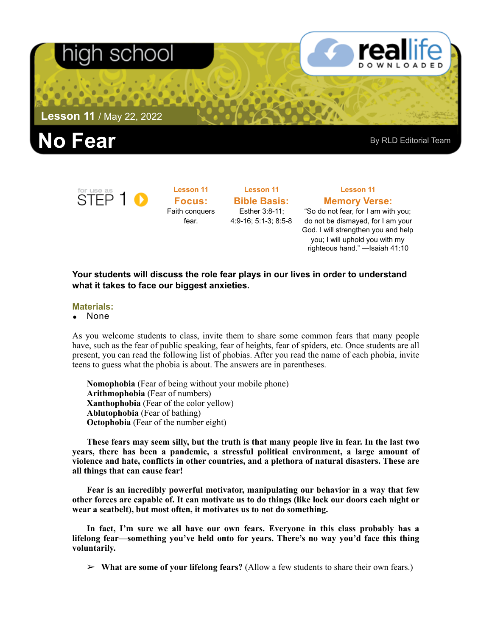# า school

**Lesson 11** / May 22, 2022





**Lesson 11 Focus:**  Faith conquers fear.

**Lesson 11 Bible Basis:** Esther 3:8-11; 4:9-16; 5:1-3; 8:5-8

## **Lesson 11 Memory Verse:** "So do not fear, for I am with you;

do not be dismayed, for I am your God. I will strengthen you and help you; I will uphold you with my righteous hand." —Isaiah 41:10

### **Your students will discuss the role fear plays in our lives in order to understand what it takes to face our biggest anxieties.**

#### **Materials:**

• None

As you welcome students to class, invite them to share some common fears that many people have, such as the fear of public speaking, fear of heights, fear of spiders, etc. Once students are all present, you can read the following list of phobias. After you read the name of each phobia, invite teens to guess what the phobia is about. The answers are in parentheses.

**Nomophobia** (Fear of being without your mobile phone) **Arithmophobia** (Fear of numbers) **Xanthophobia** (Fear of the color yellow) **Ablutophobia** (Fear of bathing) **Octophobia** (Fear of the number eight)

**These fears may seem silly, but the truth is that many people live in fear. In the last two years, there has been a pandemic, a stressful political environment, a large amount of violence and hate, conflicts in other countries, and a plethora of natural disasters. These are all things that can cause fear!** 

**Fear is an incredibly powerful motivator, manipulating our behavior in a way that few other forces are capable of. It can motivate us to do things (like lock our doors each night or wear a seatbelt), but most often, it motivates us to not do something.** 

**In fact, I'm sure we all have our own fears. Everyone in this class probably has a lifelong fear—something you've held onto for years. There's no way you'd face this thing voluntarily.** 

➢ **What are some of your lifelong fears?** (Allow a few students to share their own fears.)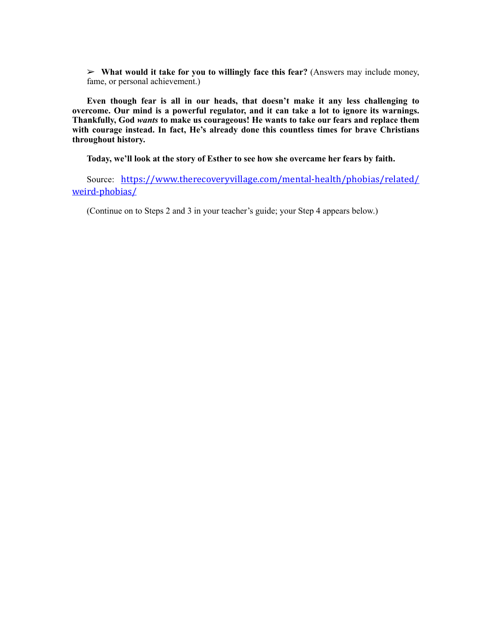➢ **What would it take for you to willingly face this fear?** (Answers may include money, fame, or personal achievement.)

**Even though fear is all in our heads, that doesn't make it any less challenging to overcome. Our mind is a powerful regulator, and it can take a lot to ignore its warnings. Thankfully, God** *wants* **to make us courageous! He wants to take our fears and replace them with courage instead. In fact, He's already done this countless times for brave Christians throughout history.** 

**Today, we'll look at the story of Esther to see how she overcame her fears by faith.** 

Source: [https://www.therecoveryvillage.com/mental-health/phobias/related/](https://www.therecoveryvillage.com/mental-health/phobias/related/weird-phobias/) [weird-phobias/](https://www.therecoveryvillage.com/mental-health/phobias/related/weird-phobias/)

(Continue on to Steps 2 and 3 in your teacher's guide; your Step 4 appears below.)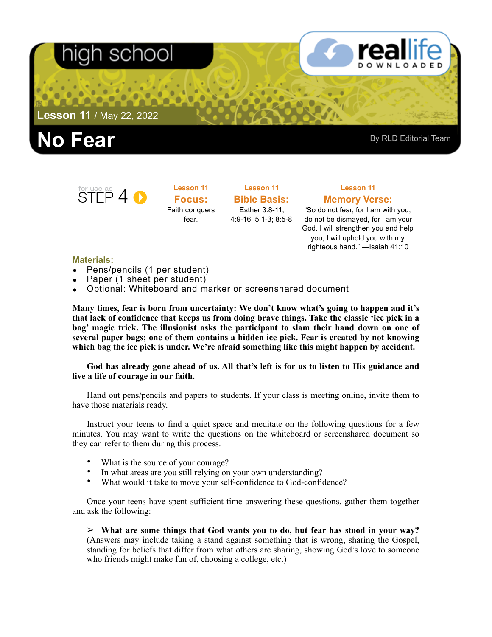# -SCI

**Lesson 11** / May 22, 2022





**Lesson 11 Focus:**  Faith conquers fear.

**Lesson 11 Bible Basis:** Esther 3:8-11; 4:9-16; 5:1-3; 8:5-8

### **Lesson 11 Memory Verse:**

"So do not fear, for I am with you; do not be dismayed, for I am your God. I will strengthen you and help you; I will uphold you with my righteous hand." —Isaiah 41:10

#### **Materials:**

- Pens/pencils (1 per student)
- Paper (1 sheet per student)
- Optional: Whiteboard and marker or screenshared document

**Many times, fear is born from uncertainty: We don't know what's going to happen and it's that lack of confidence that keeps us from doing brave things. Take the classic 'ice pick in a bag' magic trick. The illusionist asks the participant to slam their hand down on one of several paper bags; one of them contains a hidden ice pick. Fear is created by not knowing which bag the ice pick is under. We're afraid something like this might happen by accident.** 

**God has already gone ahead of us. All that's left is for us to listen to His guidance and live a life of courage in our faith.** 

Hand out pens/pencils and papers to students. If your class is meeting online, invite them to have those materials ready.

Instruct your teens to find a quiet space and meditate on the following questions for a few minutes. You may want to write the questions on the whiteboard or screenshared document so they can refer to them during this process.

- What is the source of your courage?
- In what areas are you still relying on your own understanding?
- What would it take to move your self-confidence to God-confidence?

Once your teens have spent sufficient time answering these questions, gather them together and ask the following:

➢ **What are some things that God wants you to do, but fear has stood in your way?**  (Answers may include taking a stand against something that is wrong, sharing the Gospel, standing for beliefs that differ from what others are sharing, showing God's love to someone who friends might make fun of, choosing a college, etc.)